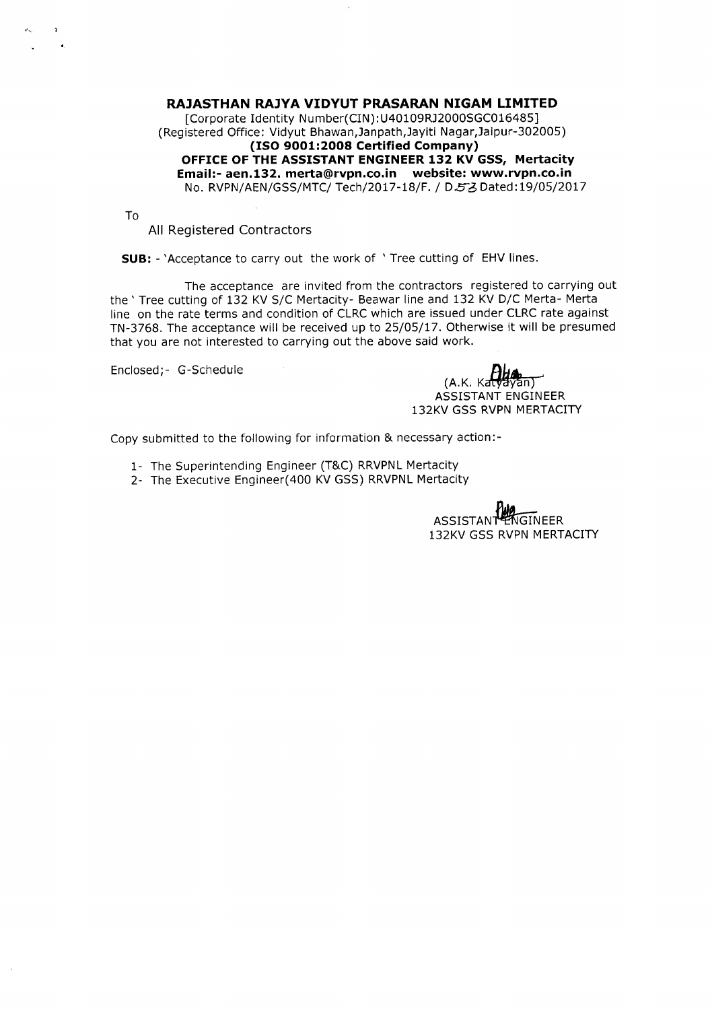**RAJASTHAN RAJYA VIDYUT PRASARAN NIGAM LIMITED** [Corporate Identity Number(CIN): U40109RJ2000SGC016485] (Registered Office: Vidyut Bhawan,Janpath,Jayiti Nagar,Jaipur-302005) **(ISO 9001:2008 Certified Company) OFFICEOFTHEASSISTANTENGINEER132 KV GSS, Mertacity Email:-aen.132.merta@rvpn.co.in website: www.rvpn.co.in** No. RVPN/AEN/GSS/MTC/ Tech/2017-18/F. / D.53 Dated: 19/05/2017

To

All Registered Contractors

**SUB: -** 'Acceptance to carry out the work of ' Tree cutting of EHV lines.

The acceptance are invited from the contractors registered to carrying out the ' Tree cutting of 132 KV S/C Mertacity- Beawar line and 132 KV D/C Merta- Merta line on the rate terms and condition of CLRC which are issued under CLRC rate against TN-3768. The acceptance will be received up to 25/05/17. Otherwise it will be presumed that you are not interested to carrying out the above said work.

Enclosed;- G-Schedule

 $(A.K.$  Kat $\forall$ a $\forall$ an) ASSISTANT ENGINEER 132KV GSS RVPN MERTACITY

Copy submitted to the following for information & necessary action:-

- 1- The Superintending Engineer (T&C) RRVPNL Mertacity
- 2- The Executive Engineer(400 KV GSS) RRVPNL Mertacity

ASSISTANT 132KV GSS RVPN MERTACITY